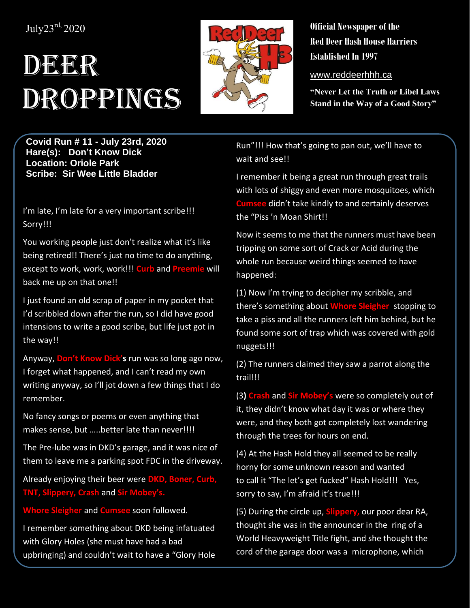## July23 rd, 2020

## DEER Droppings



**Official Newspaper of the Red Deer Hash House Harriers Established In 1997** 

www.reddeerhhh.ca

**"Never Let the Truth or Libel Laws Stand in the Way of a Good Story"**

**Covid Run # 11 - July 23rd, 2020 Hare(s): Don't Know Dick Location: Oriole Park Scribe: Sir Wee Little Bladder**

I'm late, I'm late for a very important scribe!!! Sorry!!!

You working people just don't realize what it's like being retired!! There's just no time to do anything, except to work, work, work!!! **Curb** and **Preemie** will back me up on that one!!

I just found an old scrap of paper in my pocket that I'd scribbled down after the run, so I did have good intensions to write a good scribe, but life just got in the way!!

Anyway, **Don't Know Dick's** run was so long ago now, I forget what happened, and I can't read my own writing anyway, so I'll jot down a few things that I do remember.

No fancy songs or poems or even anything that makes sense, but .....better late than never!!!!

The Pre-lube was in DKD's garage, and it was nice of them to leave me a parking spot FDC in the driveway.

Already enjoying their beer were **DKD, Boner, Curb, TNT, Slippery, Crash** and **Sir Mobey's.**

**Whore Sleigher** and **Cumsee** soon followed.

I remember something about DKD being infatuated with Glory Holes (she must have had a bad upbringing) and couldn't wait to have a "Glory Hole

Run"!!! How that's going to pan out, we'll have to wait and see!!

I remember it being a great run through great trails with lots of shiggy and even more mosquitoes, which **Cumsee** didn't take kindly to and certainly deserves the "Piss 'n Moan Shirt!!

Now it seems to me that the runners must have been tripping on some sort of Crack or Acid during the whole run because weird things seemed to have happened:

(1) Now I'm trying to decipher my scribble, and there's something about **Whore Sleigher** stopping to take a piss and all the runners left him behind, but he found some sort of trap which was covered with gold nuggets!!!

(2) The runners claimed they saw a parrot along the trail!!!

(3**) Crash** and **Sir Mobey's** were so completely out of it, they didn't know what day it was or where they were, and they both got completely lost wandering through the trees for hours on end.

(4) At the Hash Hold they all seemed to be really horny for some unknown reason and wanted to call it "The let's get fucked" Hash Hold!!! Yes, sorry to say, I'm afraid it's true!!!

(5) During the circle up, **Slippery,** our poor dear RA, thought she was in the announcer in the ring of a World Heavyweight Title fight, and she thought the cord of the garage door was a microphone, which